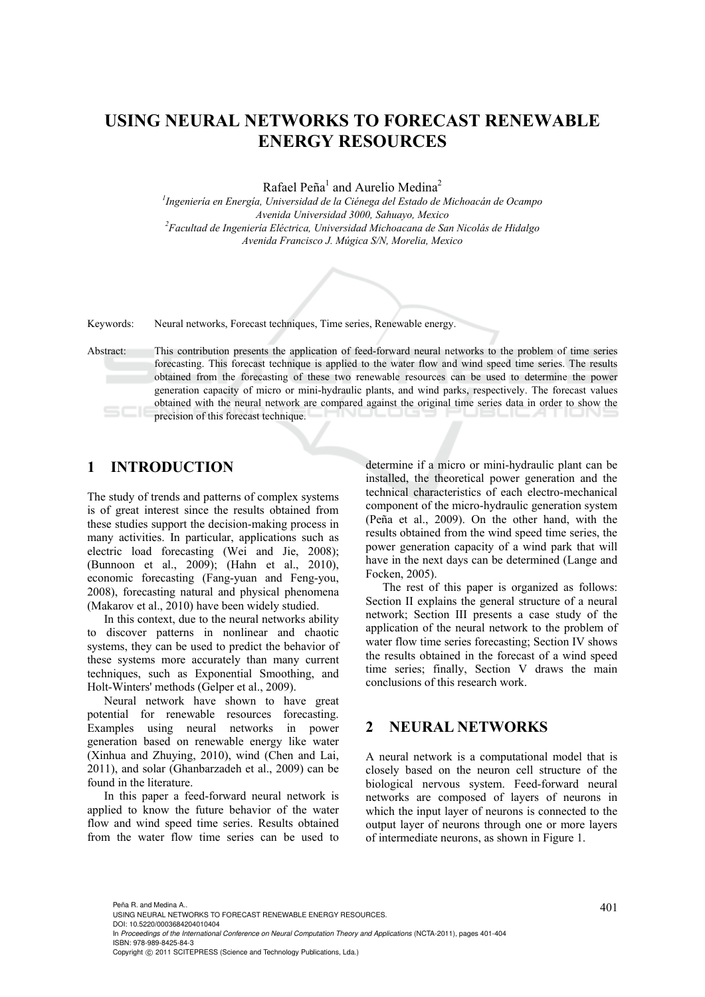# **USING NEURAL NETWORKS TO FORECAST RENEWABLE ENERGY RESOURCES**

Rafael Peña<sup>1</sup> and Aurelio Medina<sup>2</sup>

*1 Ingeniería en Energía, Universidad de la Ciénega del Estado de Michoacán de Ocampo Avenida Universidad 3000, Sahuayo, Mexico 2 Facultad de Ingeniería Eléctrica, Universidad Michoacana de San Nicolás de Hidalgo Avenida Francisco J. Múgica S/N, Morelia, Mexico* 

Keywords: Neural networks, Forecast techniques, Time series, Renewable energy.

Abstract: This contribution presents the application of feed-forward neural networks to the problem of time series forecasting. This forecast technique is applied to the water flow and wind speed time series. The results obtained from the forecasting of these two renewable resources can be used to determine the power generation capacity of micro or mini-hydraulic plants, and wind parks, respectively. The forecast values obtained with the neural network are compared against the original time series data in order to show the precision of this forecast technique.

## **1 INTRODUCTION**

The study of trends and patterns of complex systems is of great interest since the results obtained from these studies support the decision-making process in many activities. In particular, applications such as electric load forecasting (Wei and Jie, 2008); (Bunnoon et al., 2009); (Hahn et al., 2010), economic forecasting (Fang-yuan and Feng-you, 2008), forecasting natural and physical phenomena (Makarov et al., 2010) have been widely studied.

In this context, due to the neural networks ability to discover patterns in nonlinear and chaotic systems, they can be used to predict the behavior of these systems more accurately than many current techniques, such as Exponential Smoothing, and Holt-Winters' methods (Gelper et al., 2009).

Neural network have shown to have great potential for renewable resources forecasting. Examples using neural networks in power generation based on renewable energy like water (Xinhua and Zhuying, 2010), wind (Chen and Lai, 2011), and solar (Ghanbarzadeh et al., 2009) can be found in the literature.

In this paper a feed-forward neural network is applied to know the future behavior of the water flow and wind speed time series. Results obtained from the water flow time series can be used to determine if a micro or mini-hydraulic plant can be installed, the theoretical power generation and the technical characteristics of each electro-mechanical component of the micro-hydraulic generation system (Peña et al., 2009). On the other hand, with the results obtained from the wind speed time series, the power generation capacity of a wind park that will have in the next days can be determined (Lange and Focken, 2005).

The rest of this paper is organized as follows: Section II explains the general structure of a neural network; Section III presents a case study of the application of the neural network to the problem of water flow time series forecasting; Section IV shows the results obtained in the forecast of a wind speed time series; finally, Section V draws the main conclusions of this research work.

#### **2 NEURAL NETWORKS**

A neural network is a computational model that is closely based on the neuron cell structure of the biological nervous system. Feed-forward neural networks are composed of layers of neurons in which the input layer of neurons is connected to the output layer of neurons through one or more layers of intermediate neurons, as shown in Figure 1.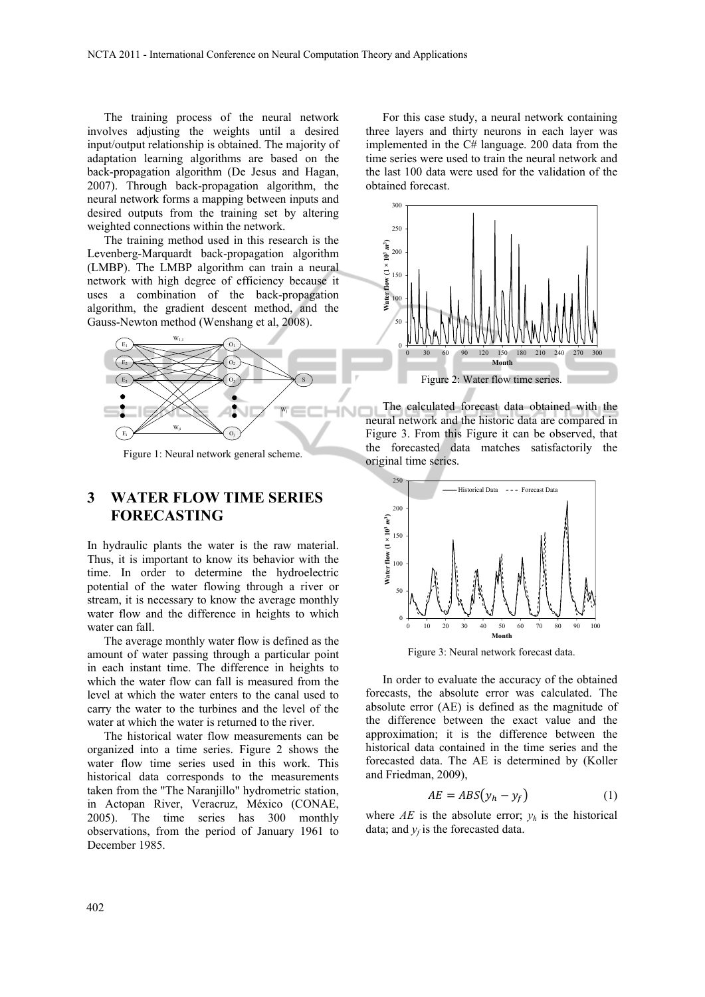The training process of the neural network involves adjusting the weights until a desired input/output relationship is obtained. The majority of adaptation learning algorithms are based on the back-propagation algorithm (De Jesus and Hagan, 2007). Through back-propagation algorithm, the neural network forms a mapping between inputs and desired outputs from the training set by altering weighted connections within the network.

The training method used in this research is the Levenberg-Marquardt back-propagation algorithm (LMBP). The LMBP algorithm can train a neural network with high degree of efficiency because it uses a combination of the back-propagation algorithm, the gradient descent method, and the Gauss-Newton method (Wenshang et al, 2008).



Figure 1: Neural network general scheme.

### **3 WATER FLOW TIME SERIES FORECASTING**

In hydraulic plants the water is the raw material. Thus, it is important to know its behavior with the time. In order to determine the hydroelectric potential of the water flowing through a river or stream, it is necessary to know the average monthly water flow and the difference in heights to which water can fall.

The average monthly water flow is defined as the amount of water passing through a particular point in each instant time. The difference in heights to which the water flow can fall is measured from the level at which the water enters to the canal used to carry the water to the turbines and the level of the water at which the water is returned to the river.

The historical water flow measurements can be organized into a time series. Figure 2 shows the water flow time series used in this work. This historical data corresponds to the measurements taken from the "The Naranjillo" hydrometric station, in Actopan River, Veracruz, México (CONAE, 2005). The time series has 300 monthly observations, from the period of January 1961 to December 1985.

For this case study, a neural network containing three layers and thirty neurons in each layer was implemented in the C# language. 200 data from the time series were used to train the neural network and the last 100 data were used for the validation of the obtained forecast.



The calculated forecast data obtained with the neural network and the historic data are compared in Figure 3. From this Figure it can be observed, that the forecasted data matches satisfactorily the original time series.



Figure 3: Neural network forecast data.

In order to evaluate the accuracy of the obtained forecasts, the absolute error was calculated. The absolute error (AE) is defined as the magnitude of the difference between the exact value and the approximation; it is the difference between the historical data contained in the time series and the forecasted data. The AE is determined by (Koller and Friedman, 2009),

$$
AE = ABS(y_h - y_f) \tag{1}
$$

where  $AE$  is the absolute error;  $y_h$  is the historical data; and  $v_f$  is the forecasted data.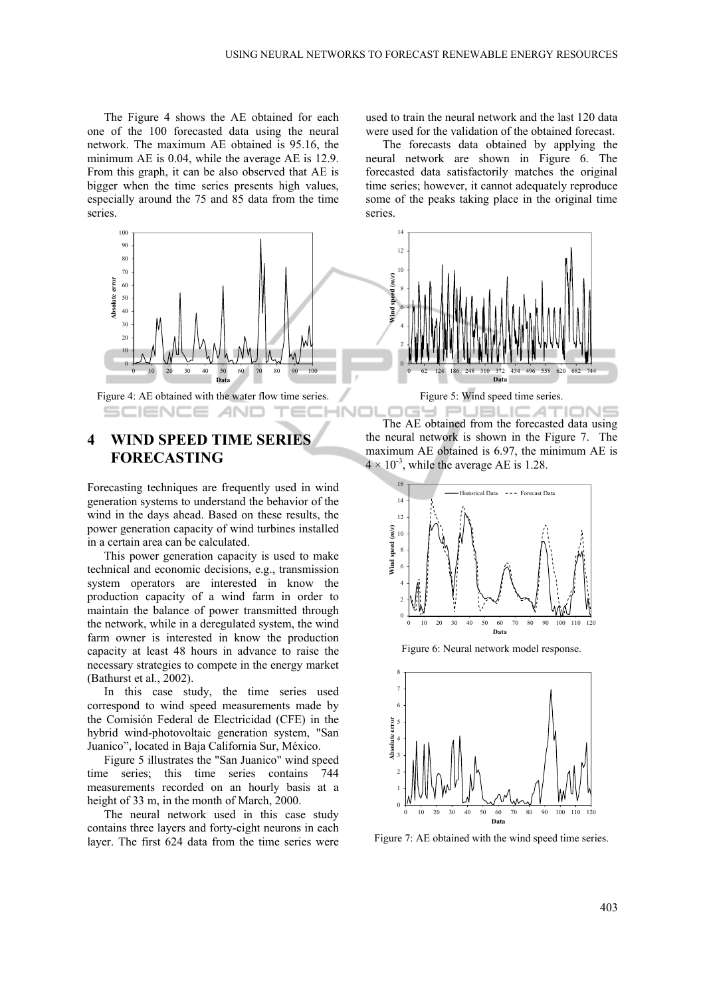The Figure 4 shows the AE obtained for each one of the 100 forecasted data using the neural network. The maximum AE obtained is 95.16, the minimum AE is 0.04, while the average AE is 12.9. From this graph, it can be also observed that AE is bigger when the time series presents high values, especially around the 75 and 85 data from the time series.



Figure 4: AE obtained with the water flow time series. SCIENCE **AND** 

## **4 WIND SPEED TIME SERIES FORECASTING**

Forecasting techniques are frequently used in wind generation systems to understand the behavior of the wind in the days ahead. Based on these results, the power generation capacity of wind turbines installed in a certain area can be calculated.

This power generation capacity is used to make technical and economic decisions, e.g., transmission system operators are interested in know the production capacity of a wind farm in order to maintain the balance of power transmitted through the network, while in a deregulated system, the wind farm owner is interested in know the production capacity at least 48 hours in advance to raise the necessary strategies to compete in the energy market (Bathurst et al., 2002).

In this case study, the time series used correspond to wind speed measurements made by the Comisión Federal de Electricidad (CFE) in the hybrid wind-photovoltaic generation system, "San Juanico", located in Baja California Sur, México.

Figure 5 illustrates the "San Juanico" wind speed time series; this time series contains 744 measurements recorded on an hourly basis at a height of 33 m, in the month of March, 2000.

The neural network used in this case study contains three layers and forty-eight neurons in each layer. The first 624 data from the time series were used to train the neural network and the last 120 data were used for the validation of the obtained forecast.

The forecasts data obtained by applying the neural network are shown in Figure 6. The forecasted data satisfactorily matches the original time series; however, it cannot adequately reproduce some of the peaks taking place in the original time series.



Figure 5: Wind speed time series.

INC **PUBLICAT** 'IONE The AE obtained from the forecasted data using the neural network is shown in the Figure 7. The maximum AE obtained is 6.97, the minimum AE is  $4 \times 10^{-3}$ , while the average AE is 1.28.







Figure 7: AE obtained with the wind speed time series.